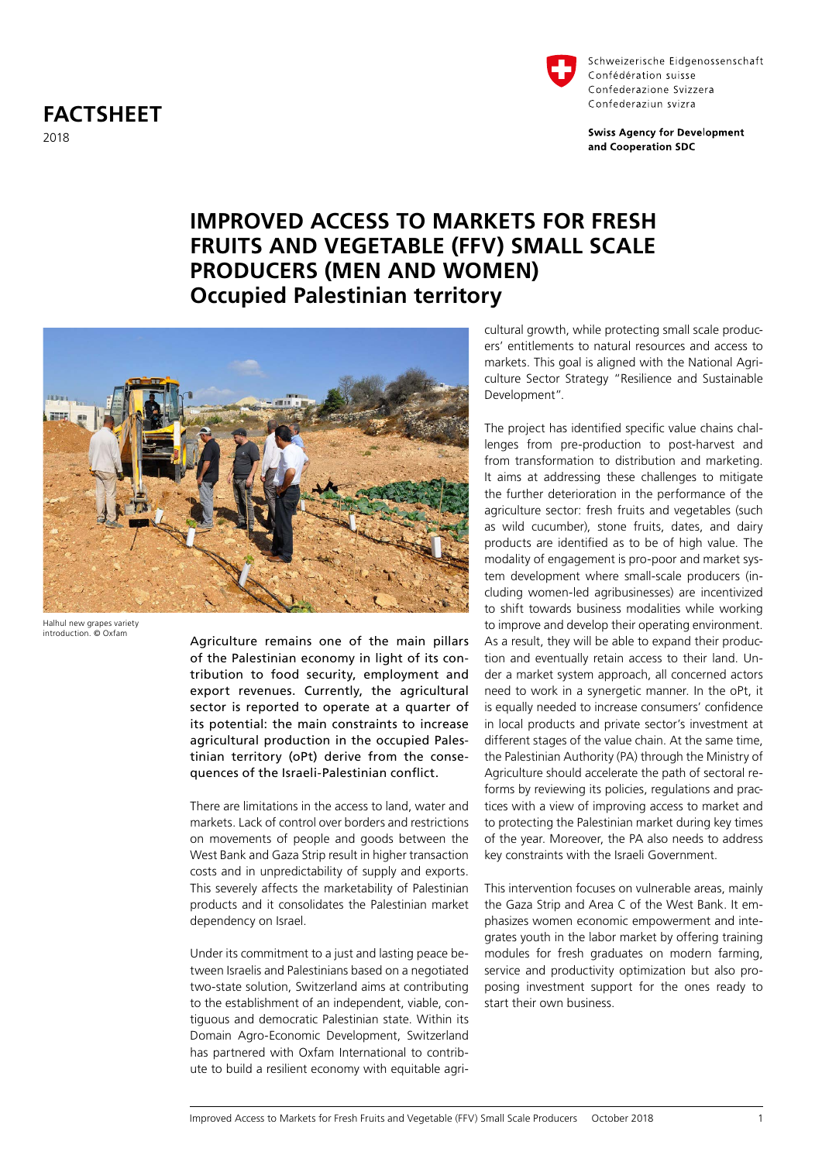## **FACTSHEET**  2018



Schweizerische Eidgenossenschaft Confédération suisse Confederazione Svizzera Confederaziun svizra

**Swiss Agency for Development** and Cooperation SDC

# **IMPROVED ACCESS TO MARKETS FOR FRESH FRUITS AND VEGETABLE (FFV) SMALL SCALE PRODUCERS (MEN AND WOMEN) Occupied Palestinian territory**



Halhul new grapes variety introduction. © Oxfam

Agriculture remains one of the main pillars of the Palestinian economy in light of its contribution to food security, employment and export revenues. Currently, the agricultural sector is reported to operate at a quarter of its potential: the main constraints to increase agricultural production in the occupied Palestinian territory (oPt) derive from the consequences of the Israeli-Palestinian conflict.

There are limitations in the access to land, water and markets. Lack of control over borders and restrictions on movements of people and goods between the West Bank and Gaza Strip result in higher transaction costs and in unpredictability of supply and exports. This severely affects the marketability of Palestinian products and it consolidates the Palestinian market dependency on Israel.

Under its commitment to a just and lasting peace between Israelis and Palestinians based on a negotiated two-state solution, Switzerland aims at contributing to the establishment of an independent, viable, contiguous and democratic Palestinian state. Within its Domain Agro-Economic Development, Switzerland has partnered with Oxfam International to contribute to build a resilient economy with equitable agricultural growth, while protecting small scale producers' entitlements to natural resources and access to markets. This goal is aligned with the National Agriculture Sector Strategy "Resilience and Sustainable Development".

The project has identified specific value chains challenges from pre-production to post-harvest and from transformation to distribution and marketing. It aims at addressing these challenges to mitigate the further deterioration in the performance of the agriculture sector: fresh fruits and vegetables (such as wild cucumber), stone fruits, dates, and dairy products are identified as to be of high value. The modality of engagement is pro-poor and market system development where small-scale producers (including women-led agribusinesses) are incentivized to shift towards business modalities while working to improve and develop their operating environment. As a result, they will be able to expand their production and eventually retain access to their land. Under a market system approach, all concerned actors need to work in a synergetic manner. In the oPt, it is equally needed to increase consumers' confidence in local products and private sector's investment at different stages of the value chain. At the same time, the Palestinian Authority (PA) through the Ministry of Agriculture should accelerate the path of sectoral reforms by reviewing its policies, regulations and practices with a view of improving access to market and to protecting the Palestinian market during key times of the year. Moreover, the PA also needs to address key constraints with the Israeli Government.

This intervention focuses on vulnerable areas, mainly the Gaza Strip and Area C of the West Bank. It emphasizes women economic empowerment and integrates youth in the labor market by offering training modules for fresh graduates on modern farming, service and productivity optimization but also proposing investment support for the ones ready to start their own business.